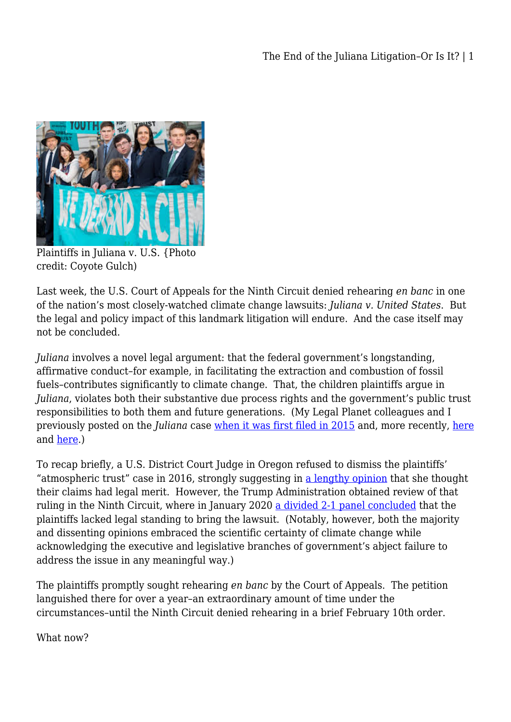

Plaintiffs in Juliana v. U.S. {Photo credit: Coyote Gulch)

Last week, the U.S. Court of Appeals for the Ninth Circuit denied rehearing *en banc* in one of the nation's most closely-watched climate change lawsuits: *Juliana v. United States*. But the legal and policy impact of this landmark litigation will endure. And the case itself may not be concluded.

*Juliana* involves a novel legal argument: that the federal government's longstanding, affirmative conduct–for example, in facilitating the extraction and combustion of fossil fuels–contributes significantly to climate change. That, the children plaintiffs argue in *Juliana*, violates both their substantive due process rights and the government's public trust responsibilities to both them and future generations. (My Legal Planet colleagues and I previously posted on the *Juliana* case [when it was first filed in 2015](https://legal-planet.org/2015/08/17/and-a-child-shall-sue-them-ambitious-new-climate-lawsuit-filed-against-obama-administration/) and, more recently, [here](https://legal-planet.org/2017/06/13/trump-administration-seeks-ninth-circuit-review-in-pioneering-atmospheric-trust-case/) and [here](https://legal-planet.org/2020/01/17/juliana-and-the-future-of-climate-litigation/).)

To recap briefly, a U.S. District Court Judge in Oregon refused to dismiss the plaintiffs' "atmospheric trust" case in 2016, strongly suggesting in [a lengthy opinion](https://static1.squarespace.com/static/571d109b04426270152febe0/t/5824e85e6a49638292ddd1c9/1478813795912/Order+MTD.Aiken.pdf) that she thought their claims had legal merit. However, the Trump Administration obtained review of that ruling in the Ninth Circuit, where in January 2020 [a divided 2-1 panel concluded](http://cdn.ca9.uscourts.gov/datastore/opinions/2020/01/17/18-36082.pdf) that the plaintiffs lacked legal standing to bring the lawsuit. (Notably, however, both the majority and dissenting opinions embraced the scientific certainty of climate change while acknowledging the executive and legislative branches of government's abject failure to address the issue in any meaningful way.)

The plaintiffs promptly sought rehearing *en banc* by the Court of Appeals. The petition languished there for over a year–an extraordinary amount of time under the circumstances–until the Ninth Circuit denied rehearing in a brief February 10th order.

What now?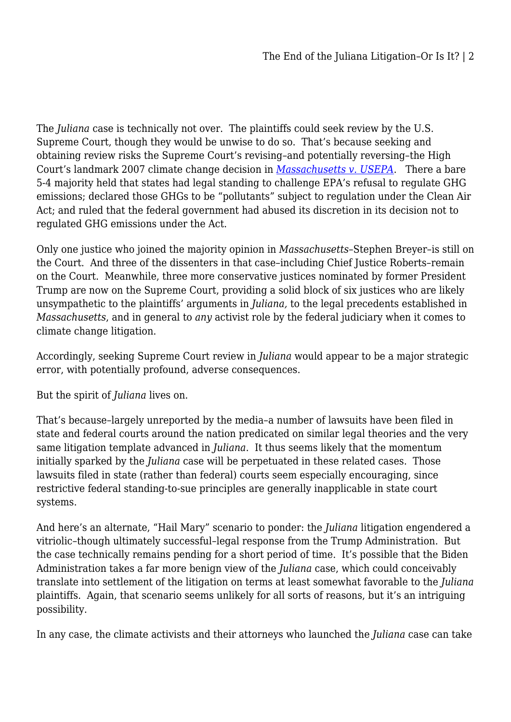The *Juliana* case is technically not over. The plaintiffs could seek review by the U.S. Supreme Court, though they would be unwise to do so. That's because seeking and obtaining review risks the Supreme Court's revising–and potentially reversing–the High Court's landmark 2007 climate change decision in *[Massachusetts v. USEPA](https://supreme.justia.com/cases/federal/us/549/497/)*. There a bare 5-4 majority held that states had legal standing to challenge EPA's refusal to regulate GHG emissions; declared those GHGs to be "pollutants" subject to regulation under the Clean Air Act; and ruled that the federal government had abused its discretion in its decision not to regulated GHG emissions under the Act.

Only one justice who joined the majority opinion in *Massachusetts*–Stephen Breyer–is still on the Court. And three of the dissenters in that case–including Chief Justice Roberts–remain on the Court. Meanwhile, three more conservative justices nominated by former President Trump are now on the Supreme Court, providing a solid block of six justices who are likely unsympathetic to the plaintiffs' arguments in *Juliana,* to the legal precedents established in *Massachusetts*, and in general to *any* activist role by the federal judiciary when it comes to climate change litigation.

Accordingly, seeking Supreme Court review in *Juliana* would appear to be a major strategic error, with potentially profound, adverse consequences.

But the spirit of *Juliana* lives on.

That's because–largely unreported by the media–a number of lawsuits have been filed in state and federal courts around the nation predicated on similar legal theories and the very same litigation template advanced in *Juliana*. It thus seems likely that the momentum initially sparked by the *Juliana* case will be perpetuated in these related cases. Those lawsuits filed in state (rather than federal) courts seem especially encouraging, since restrictive federal standing-to-sue principles are generally inapplicable in state court systems.

And here's an alternate, "Hail Mary" scenario to ponder: the *Juliana* litigation engendered a vitriolic–though ultimately successful–legal response from the Trump Administration. But the case technically remains pending for a short period of time. It's possible that the Biden Administration takes a far more benign view of the *Juliana* case, which could conceivably translate into settlement of the litigation on terms at least somewhat favorable to the *Juliana* plaintiffs. Again, that scenario seems unlikely for all sorts of reasons, but it's an intriguing possibility.

In any case, the climate activists and their attorneys who launched the *Juliana* case can take